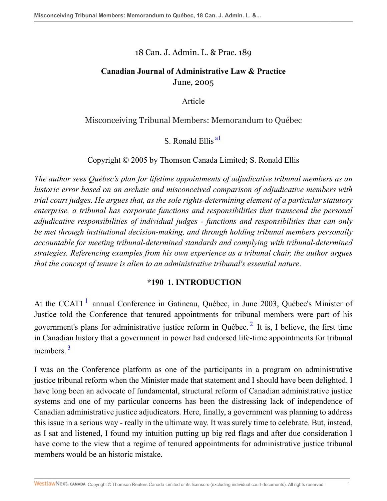#### 18 Can. J. Admin. L. & Prac. 189

### **Canadian Journal of Administrative Law & Practice** June, 2005

<span id="page-0-0"></span>Article

#### Misconceiving Tribunal Members: Memorandum to Québec

S. Ronald Ellis<sup>al</sup>

Copyright © 2005 by Thomson Canada Limited; S. Ronald Ellis

*The author sees Québec's plan for lifetime appointments of adjudicative tribunal members as an historic error based on an archaic and misconceived comparison of adjudicative members with trial court judges. He argues that, as the sole rights-determining element of a particular statutory enterprise, a tribunal has corporate functions and responsibilities that transcend the personal adjudicative responsibilities of individual judges - functions and responsibilities that can only be met through institutional decision-making, and through holding tribunal members personally accountable for meeting tribunal-determined standards and complying with tribunal-determined strategies. Referencing examples from his own experience as a tribunal chair, the author argues that the concept of tenure is alien to an administrative tribunal's essential nature*.

#### <span id="page-0-2"></span>**\*190 1. INTRODUCTION**

<span id="page-0-1"></span>At the CCAT[1](#page-24-1)<sup>1</sup> annual Conference in Gatineau, Québec, in June 2003, Québec's Minister of Justice told the Conference that tenured appointments for tribunal members were part of his government's plans for administrative justice reform in Québec.<sup>[2](#page-25-0)</sup> It is, I believe, the first time in Canadian history that a government in power had endorsed life-time appointments for tribunal members.<sup>[3](#page-25-1)</sup>

<span id="page-0-3"></span>I was on the Conference platform as one of the participants in a program on administrative justice tribunal reform when the Minister made that statement and I should have been delighted. I have long been an advocate of fundamental, structural reform of Canadian administrative justice systems and one of my particular concerns has been the distressing lack of independence of Canadian administrative justice adjudicators. Here, finally, a government was planning to address this issue in a serious way - really in the ultimate way. It was surely time to celebrate. But, instead, as I sat and listened, I found my intuition putting up big red flags and after due consideration I have come to the view that a regime of tenured appointments for administrative justice tribunal members would be an historic mistake.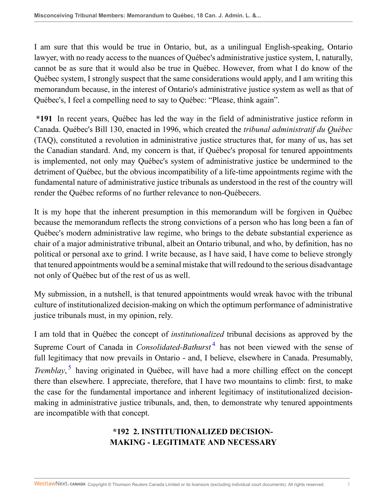I am sure that this would be true in Ontario, but, as a unilingual English-speaking, Ontario lawyer, with no ready access to the nuances of Québec's administrative justice system, I, naturally, cannot be as sure that it would also be true in Québec. However, from what I do know of the Québec system, I strongly suspect that the same considerations would apply, and I am writing this memorandum because, in the interest of Ontario's administrative justice system as well as that of Québec's, I feel a compelling need to say to Québec: "Please, think again".

**\*191** In recent years, Québec has led the way in the field of administrative justice reform in Canada. Québec's Bill 130, enacted in 1996, which created the *tribunal administratif du Québec* (TAQ), constituted a revolution in administrative justice structures that, for many of us, has set the Canadian standard. And, my concern is that, if Québec's proposal for tenured appointments is implemented, not only may Québec's system of administrative justice be undermined to the detriment of Québec, but the obvious incompatibility of a life-time appointments regime with the fundamental nature of administrative justice tribunals as understood in the rest of the country will render the Québec reforms of no further relevance to non-Québecers.

It is my hope that the inherent presumption in this memorandum will be forgiven in Québec because the memorandum reflects the strong convictions of a person who has long been a fan of Québec's modern administrative law regime, who brings to the debate substantial experience as chair of a major administrative tribunal, albeit an Ontario tribunal, and who, by definition, has no political or personal axe to grind. I write because, as I have said, I have come to believe strongly that tenured appointments would be a seminal mistake that will redound to the serious disadvantage not only of Québec but of the rest of us as well.

My submission, in a nutshell, is that tenured appointments would wreak havoc with the tribunal culture of institutionalized decision-making on which the optimum performance of administrative justice tribunals must, in my opinion, rely.

<span id="page-1-1"></span>I am told that in Québec the concept of *institutionalized* tribunal decisions as approved by the Supreme Court of Canada in *Consolidated-Bathurst*<sup>[4](#page-25-2)</sup> has not been viewed with the sense of full legitimacy that now prevails in Ontario - and, I believe, elsewhere in Canada. Presumably, *Tremblay*, [5](#page-25-3) having originated in Québec, will have had a more chilling effect on the concept there than elsewhere. I appreciate, therefore, that I have two mountains to climb: first, to make the case for the fundamental importance and inherent legitimacy of institutionalized decisionmaking in administrative justice tribunals, and, then, to demonstrate why tenured appointments are incompatible with that concept.

# <span id="page-1-0"></span>**\*192 2. INSTITUTIONALIZED DECISION-MAKING - LEGITIMATE AND NECESSARY**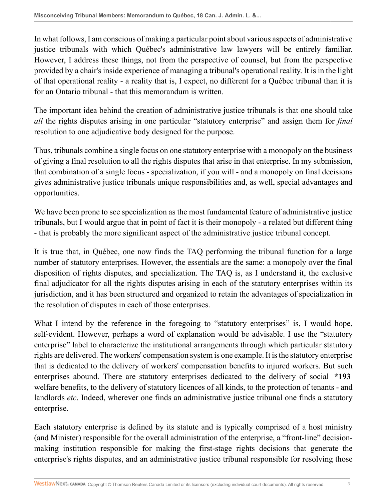In what follows, I am conscious of making a particular point about various aspects of administrative justice tribunals with which Québec's administrative law lawyers will be entirely familiar. However, I address these things, not from the perspective of counsel, but from the perspective provided by a chair's inside experience of managing a tribunal's operational reality. It is in the light of that operational reality - a reality that is, I expect, no different for a Québec tribunal than it is for an Ontario tribunal - that this memorandum is written.

The important idea behind the creation of administrative justice tribunals is that one should take *all* the rights disputes arising in one particular "statutory enterprise" and assign them for *final* resolution to one adjudicative body designed for the purpose.

Thus, tribunals combine a single focus on one statutory enterprise with a monopoly on the business of giving a final resolution to all the rights disputes that arise in that enterprise. In my submission, that combination of a single focus - specialization, if you will - and a monopoly on final decisions gives administrative justice tribunals unique responsibilities and, as well, special advantages and opportunities.

We have been prone to see specialization as the most fundamental feature of administrative justice tribunals, but I would argue that in point of fact it is their monopoly - a related but different thing - that is probably the more significant aspect of the administrative justice tribunal concept.

It is true that, in Québec, one now finds the TAQ performing the tribunal function for a large number of statutory enterprises. However, the essentials are the same: a monopoly over the final disposition of rights disputes, and specialization. The TAQ is, as I understand it, the exclusive final adjudicator for all the rights disputes arising in each of the statutory enterprises within its jurisdiction, and it has been structured and organized to retain the advantages of specialization in the resolution of disputes in each of those enterprises.

What I intend by the reference in the foregoing to "statutory enterprises" is, I would hope, self-evident. However, perhaps a word of explanation would be advisable. I use the "statutory enterprise" label to characterize the institutional arrangements through which particular statutory rights are delivered. The workers' compensation system is one example. It is the statutory enterprise that is dedicated to the delivery of workers' compensation benefits to injured workers. But such enterprises abound. There are statutory enterprises dedicated to the delivery of social **\*193** welfare benefits, to the delivery of statutory licences of all kinds, to the protection of tenants - and landlords *etc*. Indeed, wherever one finds an administrative justice tribunal one finds a statutory enterprise.

Each statutory enterprise is defined by its statute and is typically comprised of a host ministry (and Minister) responsible for the overall administration of the enterprise, a "front-line" decisionmaking institution responsible for making the first-stage rights decisions that generate the enterprise's rights disputes, and an administrative justice tribunal responsible for resolving those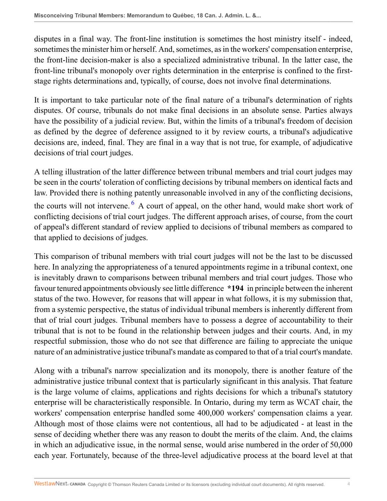disputes in a final way. The front-line institution is sometimes the host ministry itself - indeed, sometimes the minister him or herself. And, sometimes, as in the workers' compensation enterprise, the front-line decision-maker is also a specialized administrative tribunal. In the latter case, the front-line tribunal's monopoly over rights determination in the enterprise is confined to the firststage rights determinations and, typically, of course, does not involve final determinations.

It is important to take particular note of the final nature of a tribunal's determination of rights disputes. Of course, tribunals do not make final decisions in an absolute sense. Parties always have the possibility of a judicial review. But, within the limits of a tribunal's freedom of decision as defined by the degree of deference assigned to it by review courts, a tribunal's adjudicative decisions are, indeed, final. They are final in a way that is not true, for example, of adjudicative decisions of trial court judges.

<span id="page-3-0"></span>A telling illustration of the latter difference between tribunal members and trial court judges may be seen in the courts' toleration of conflicting decisions by tribunal members on identical facts and law. Provided there is nothing patently unreasonable involved in any of the conflicting decisions, the courts will not intervene. <sup>[6](#page-25-4)</sup> A court of appeal, on the other hand, would make short work of conflicting decisions of trial court judges. The different approach arises, of course, from the court of appeal's different standard of review applied to decisions of tribunal members as compared to that applied to decisions of judges.

This comparison of tribunal members with trial court judges will not be the last to be discussed here. In analyzing the appropriateness of a tenured appointments regime in a tribunal context, one is inevitably drawn to comparisons between tribunal members and trial court judges. Those who favour tenured appointments obviously see little difference **\*194** in principle between the inherent status of the two. However, for reasons that will appear in what follows, it is my submission that, from a systemic perspective, the status of individual tribunal members is inherently different from that of trial court judges. Tribunal members have to possess a degree of accountability to their tribunal that is not to be found in the relationship between judges and their courts. And, in my respectful submission, those who do not see that difference are failing to appreciate the unique nature of an administrative justice tribunal's mandate as compared to that of a trial court's mandate.

Along with a tribunal's narrow specialization and its monopoly, there is another feature of the administrative justice tribunal context that is particularly significant in this analysis. That feature is the large volume of claims, applications and rights decisions for which a tribunal's statutory enterprise will be characteristically responsible. In Ontario, during my term as WCAT chair, the workers' compensation enterprise handled some 400,000 workers' compensation claims a year. Although most of those claims were not contentious, all had to be adjudicated - at least in the sense of deciding whether there was any reason to doubt the merits of the claim. And, the claims in which an adjudicative issue, in the normal sense, would arise numbered in the order of 50,000 each year. Fortunately, because of the three-level adjudicative process at the board level at that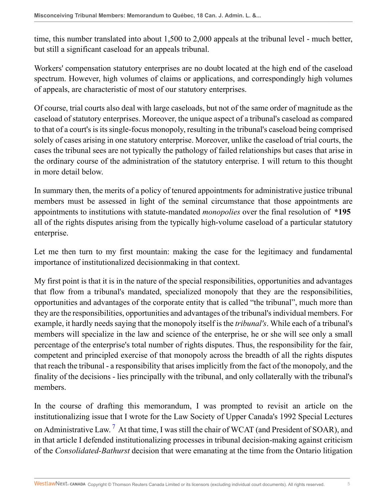time, this number translated into about 1,500 to 2,000 appeals at the tribunal level - much better, but still a significant caseload for an appeals tribunal.

Workers' compensation statutory enterprises are no doubt located at the high end of the caseload spectrum. However, high volumes of claims or applications, and correspondingly high volumes of appeals, are characteristic of most of our statutory enterprises.

Of course, trial courts also deal with large caseloads, but not of the same order of magnitude as the caseload of statutory enterprises. Moreover, the unique aspect of a tribunal's caseload as compared to that of a court's is its single-focus monopoly, resulting in the tribunal's caseload being comprised solely of cases arising in one statutory enterprise. Moreover, unlike the caseload of trial courts, the cases the tribunal sees are not typically the pathology of failed relationships but cases that arise in the ordinary course of the administration of the statutory enterprise. I will return to this thought in more detail below.

In summary then, the merits of a policy of tenured appointments for administrative justice tribunal members must be assessed in light of the seminal circumstance that those appointments are appointments to institutions with statute-mandated *monopolies* over the final resolution of **\*195** all of the rights disputes arising from the typically high-volume caseload of a particular statutory enterprise.

Let me then turn to my first mountain: making the case for the legitimacy and fundamental importance of institutionalized decisionmaking in that context.

My first point is that it is in the nature of the special responsibilities, opportunities and advantages that flow from a tribunal's mandated, specialized monopoly that they are the responsibilities, opportunities and advantages of the corporate entity that is called "the tribunal", much more than they are the responsibilities, opportunities and advantages of the tribunal's individual members. For example, it hardly needs saying that the monopoly itself is the *tribunal's*. While each of a tribunal's members will specialize in the law and science of the enterprise, he or she will see only a small percentage of the enterprise's total number of rights disputes. Thus, the responsibility for the fair, competent and principled exercise of that monopoly across the breadth of all the rights disputes that reach the tribunal - a responsibility that arises implicitly from the fact of the monopoly, and the finality of the decisions - lies principally with the tribunal, and only collaterally with the tribunal's members.

<span id="page-4-0"></span>In the course of drafting this memorandum, I was prompted to revisit an article on the institutionalizing issue that I wrote for the Law Society of Upper Canada's 1992 Special Lectures on Administrative Law.  $^7$  $^7$  At that time, I was still the chair of WCAT (and President of SOAR), and in that article I defended institutionalizing processes in tribunal decision-making against criticism of the *Consolidated-Bathurst* decision that were emanating at the time from the Ontario litigation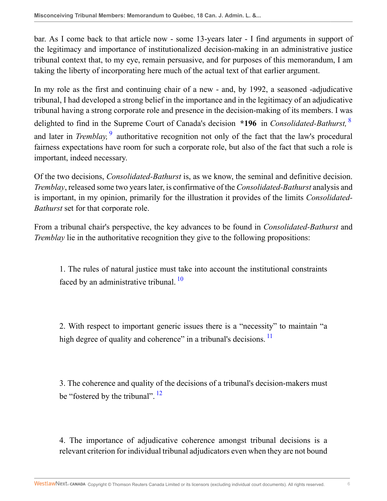bar. As I come back to that article now - some 13-years later - I find arguments in support of the legitimacy and importance of institutionalized decision-making in an administrative justice tribunal context that, to my eye, remain persuasive, and for purposes of this memorandum, I am taking the liberty of incorporating here much of the actual text of that earlier argument.

<span id="page-5-1"></span><span id="page-5-0"></span>In my role as the first and continuing chair of a new - and, by 1992, a seasoned -adjudicative tribunal, I had developed a strong belief in the importance and in the legitimacy of an adjudicative tribunal having a strong corporate role and presence in the decision-making of its members. I was delighted to find in the Supreme Court of Canada's decision **\*196** in *Consolidated-Bathurst,* [8](#page-25-6) and later in *Tremblay*, <sup>[9](#page-25-7)</sup> authoritative recognition not only of the fact that the law's procedural fairness expectations have room for such a corporate role, but also of the fact that such a role is important, indeed necessary.

Of the two decisions, *Consolidated-Bathurst* is, as we know, the seminal and definitive decision. *Tremblay*, released some two years later, is confirmative of the *Consolidated-Bathurst* analysis and is important, in my opinion, primarily for the illustration it provides of the limits *Consolidated-Bathurst* set for that corporate role.

From a tribunal chair's perspective, the key advances to be found in *Consolidated-Bathurst* and *Tremblay* lie in the authoritative recognition they give to the following propositions:

<span id="page-5-2"></span>1. The rules of natural justice must take into account the institutional constraints faced by an administrative tribunal.<sup>[10](#page-25-8)</sup>

<span id="page-5-3"></span>2. With respect to important generic issues there is a "necessity" to maintain "a high degree of quality and coherence" in a tribunal's decisions.  $\frac{11}{11}$  $\frac{11}{11}$  $\frac{11}{11}$ 

<span id="page-5-4"></span>3. The coherence and quality of the decisions of a tribunal's decision-makers must be "fostered by the tribunal". <sup>[12](#page-25-10)</sup>

4. The importance of adjudicative coherence amongst tribunal decisions is a relevant criterion for individual tribunal adjudicators even when they are not bound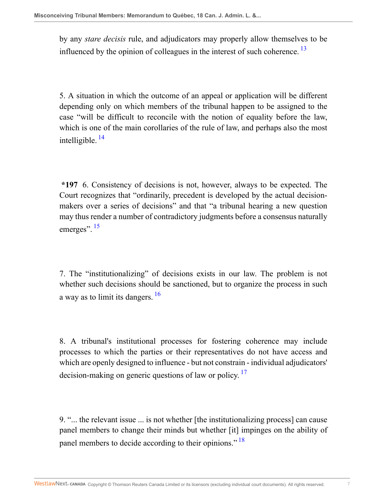<span id="page-6-0"></span>by any *stare decisis* rule, and adjudicators may properly allow themselves to be influenced by the opinion of colleagues in the interest of such coherence.<sup>[13](#page-25-11)</sup>

<span id="page-6-1"></span>5. A situation in which the outcome of an appeal or application will be different depending only on which members of the tribunal happen to be assigned to the case "will be difficult to reconcile with the notion of equality before the law, which is one of the main corollaries of the rule of law, and perhaps also the most intelligible.  $^{14}$  $^{14}$  $^{14}$ 

<span id="page-6-2"></span>**\*197** 6. Consistency of decisions is not, however, always to be expected. The Court recognizes that "ordinarily, precedent is developed by the actual decisionmakers over a series of decisions" and that "a tribunal hearing a new question may thus render a number of contradictory judgments before a consensus naturally emerges". <sup>[15](#page-25-13)</sup>

<span id="page-6-3"></span>7. The "institutionalizing" of decisions exists in our law. The problem is not whether such decisions should be sanctioned, but to organize the process in such a way as to limit its dangers.<sup>[16](#page-25-14)</sup>

<span id="page-6-4"></span>8. A tribunal's institutional processes for fostering coherence may include processes to which the parties or their representatives do not have access and which are openly designed to influence - but not constrain - individual adjudicators' decision-making on generic questions of law or policy.<sup>[17](#page-25-15)</sup>

<span id="page-6-5"></span>9. "... the relevant issue ... is not whether [the institutionalizing process] can cause panel members to change their minds but whether [it] impinges on the ability of panel members to decide according to their opinions."<sup>[18](#page-25-16)</sup>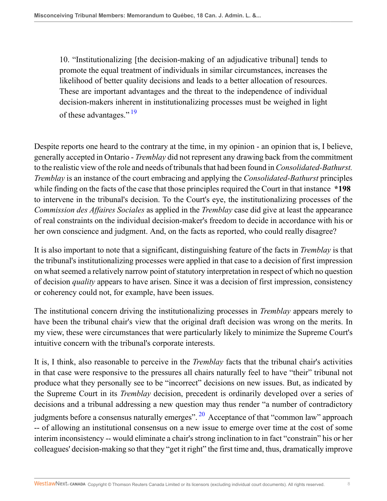<span id="page-7-0"></span>10. "Institutionalizing [the decision-making of an adjudicative tribunal] tends to promote the equal treatment of individuals in similar circumstances, increases the likelihood of better quality decisions and leads to a better allocation of resources. These are important advantages and the threat to the independence of individual decision-makers inherent in institutionalizing processes must be weighed in light of these advantages."<sup>[19](#page-25-17)</sup>

Despite reports one heard to the contrary at the time, in my opinion - an opinion that is, I believe, generally accepted in Ontario - *Tremblay* did not represent any drawing back from the commitment to the realistic view of the role and needs of tribunals that had been found in *Consolidated-Bathurst. Tremblay* is an instance of the court embracing and applying the *Consolidated-Bathurst* principles while finding on the facts of the case that those principles required the Court in that instance **\*198** to intervene in the tribunal's decision. To the Court's eye, the institutionalizing processes of the *Commission des Affaires Sociales* as applied in the *Tremblay* case did give at least the appearance of real constraints on the individual decision-maker's freedom to decide in accordance with his or her own conscience and judgment. And, on the facts as reported, who could really disagree?

It is also important to note that a significant, distinguishing feature of the facts in *Tremblay* is that the tribunal's institutionalizing processes were applied in that case to a decision of first impression on what seemed a relatively narrow point of statutory interpretation in respect of which no question of decision *quality* appears to have arisen. Since it was a decision of first impression, consistency or coherency could not, for example, have been issues.

The institutional concern driving the institutionalizing processes in *Tremblay* appears merely to have been the tribunal chair's view that the original draft decision was wrong on the merits. In my view, these were circumstances that were particularly likely to minimize the Supreme Court's intuitive concern with the tribunal's corporate interests.

<span id="page-7-1"></span>It is, I think, also reasonable to perceive in the *Tremblay* facts that the tribunal chair's activities in that case were responsive to the pressures all chairs naturally feel to have "their" tribunal not produce what they personally see to be "incorrect" decisions on new issues. But, as indicated by the Supreme Court in its *Tremblay* decision, precedent is ordinarily developed over a series of decisions and a tribunal addressing a new question may thus render "a number of contradictory judgments before a consensus naturally emerges".  $20$  Acceptance of that "common law" approach -- of allowing an institutional consensus on a new issue to emerge over time at the cost of some interim inconsistency -- would eliminate a chair's strong inclination to in fact "constrain" his or her colleagues' decision-making so that they "get it right" the first time and, thus, dramatically improve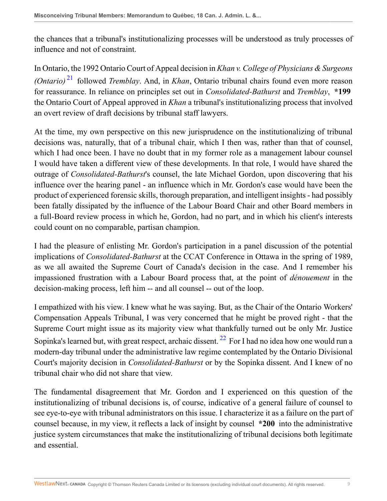the chances that a tribunal's institutionalizing processes will be understood as truly processes of influence and not of constraint.

<span id="page-8-0"></span>In Ontario, the 1992 Ontario Court of Appeal decision in *Khan v. College of Physicians & Surgeons (Ontario)* [21](#page-26-1) followed *Tremblay*. And, in *Khan*, Ontario tribunal chairs found even more reason for reassurance. In reliance on principles set out in *Consolidated-Bathurst* and *Tremblay*, **\*199** the Ontario Court of Appeal approved in *Khan* a tribunal's institutionalizing process that involved an overt review of draft decisions by tribunal staff lawyers.

At the time, my own perspective on this new jurisprudence on the institutionalizing of tribunal decisions was, naturally, that of a tribunal chair, which I then was, rather than that of counsel, which I had once been. I have no doubt that in my former role as a management labour counsel I would have taken a different view of these developments. In that role, I would have shared the outrage of *Consolidated-Bathurst*'s counsel, the late Michael Gordon, upon discovering that his influence over the hearing panel - an influence which in Mr. Gordon's case would have been the product of experienced forensic skills, thorough preparation, and intelligent insights - had possibly been fatally dissipated by the influence of the Labour Board Chair and other Board members in a full-Board review process in which he, Gordon, had no part, and in which his client's interests could count on no comparable, partisan champion.

I had the pleasure of enlisting Mr. Gordon's participation in a panel discussion of the potential implications of *Consolidated-Bathurst* at the CCAT Conference in Ottawa in the spring of 1989, as we all awaited the Supreme Court of Canada's decision in the case. And I remember his impassioned frustration with a Labour Board process that, at the point of *dénouement* in the decision-making process, left him -- and all counsel -- out of the loop.

<span id="page-8-1"></span>I empathized with his view. I knew what he was saying. But, as the Chair of the Ontario Workers' Compensation Appeals Tribunal, I was very concerned that he might be proved right - that the Supreme Court might issue as its majority view what thankfully turned out be only Mr. Justice Sopinka's learned but, with great respect, archaic dissent.  $^{22}$  $^{22}$  $^{22}$  For I had no idea how one would run a modern-day tribunal under the administrative law regime contemplated by the Ontario Divisional Court's majority decision in *Consolidated-Bathurst* or by the Sopinka dissent. And I knew of no tribunal chair who did not share that view.

The fundamental disagreement that Mr. Gordon and I experienced on this question of the institutionalizing of tribunal decisions is, of course, indicative of a general failure of counsel to see eye-to-eye with tribunal administrators on this issue. I characterize it as a failure on the part of counsel because, in my view, it reflects a lack of insight by counsel **\*200** into the administrative justice system circumstances that make the institutionalizing of tribunal decisions both legitimate and essential.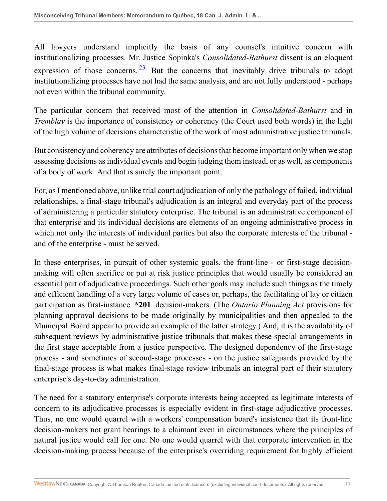<span id="page-9-0"></span>All lawyers understand implicitly the basis of any counsel's intuitive concern with institutionalizing processes. Mr. Justice Sopinka's *Consolidated-Bathurst* dissent is an eloquent expression of those concerns. <sup>[23](#page-26-3)</sup> But the concerns that inevitably drive tribunals to adopt institutionalizing processes have not had the same analysis, and are not fully understood - perhaps not even within the tribunal community.

The particular concern that received most of the attention in *Consolidated-Bathurst* and in *Tremblay* is the importance of consistency or coherency (the Court used both words) in the light of the high volume of decisions characteristic of the work of most administrative justice tribunals.

But consistency and coherency are attributes of decisions that become important only when we stop assessing decisions as individual events and begin judging them instead, or as well, as components of a body of work. And that is surely the important point.

For, as I mentioned above, unlike trial court adjudication of only the pathology of failed, individual relationships, a final-stage tribunal's adjudication is an integral and everyday part of the process of administering a particular statutory enterprise. The tribunal is an administrative component of that enterprise and its individual decisions are elements of an ongoing administrative process in which not only the interests of individual parties but also the corporate interests of the tribunal and of the enterprise - must be served.

In these enterprises, in pursuit of other systemic goals, the front-line - or first-stage decisionmaking will often sacrifice or put at risk justice principles that would usually be considered an essential part of adjudicative proceedings. Such other goals may include such things as the timely and efficient handling of a very large volume of cases or, perhaps, the facilitating of lay or citizen participation as first-instance **\*201** decision-makers. (The *Ontario Planning Act* provisions for planning approval decisions to be made originally by municipalities and then appealed to the Municipal Board appear to provide an example of the latter strategy.) And, it is the availability of subsequent reviews by administrative justice tribunals that makes these special arrangements in the first stage acceptable from a justice perspective. The designed dependency of the first-stage process - and sometimes of second-stage processes - on the justice safeguards provided by the final-stage process is what makes final-stage review tribunals an integral part of their statutory enterprise's day-to-day administration.

The need for a statutory enterprise's corporate interests being accepted as legitimate interests of concern to its adjudicative processes is especially evident in first-stage adjudicative processes. Thus, no one would quarrel with a workers' compensation board's insistence that its front-line decision-makers not grant hearings to a claimant even in circumstances where the principles of natural justice would call for one. No one would quarrel with that corporate intervention in the decision-making process because of the enterprise's overriding requirement for highly efficient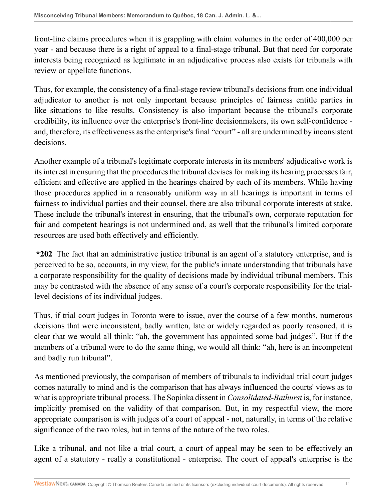front-line claims procedures when it is grappling with claim volumes in the order of 400,000 per year - and because there is a right of appeal to a final-stage tribunal. But that need for corporate interests being recognized as legitimate in an adjudicative process also exists for tribunals with review or appellate functions.

Thus, for example, the consistency of a final-stage review tribunal's decisions from one individual adjudicator to another is not only important because principles of fairness entitle parties in like situations to like results. Consistency is also important because the tribunal's corporate credibility, its influence over the enterprise's front-line decisionmakers, its own self-confidence and, therefore, its effectiveness as the enterprise's final "court" - all are undermined by inconsistent decisions.

Another example of a tribunal's legitimate corporate interests in its members' adjudicative work is its interest in ensuring that the procedures the tribunal devises for making its hearing processes fair, efficient and effective are applied in the hearings chaired by each of its members. While having those procedures applied in a reasonably uniform way in all hearings is important in terms of fairness to individual parties and their counsel, there are also tribunal corporate interests at stake. These include the tribunal's interest in ensuring, that the tribunal's own, corporate reputation for fair and competent hearings is not undermined and, as well that the tribunal's limited corporate resources are used both effectively and efficiently.

**\*202** The fact that an administrative justice tribunal is an agent of a statutory enterprise, and is perceived to be so, accounts, in my view, for the public's innate understanding that tribunals have a corporate responsibility for the quality of decisions made by individual tribunal members. This may be contrasted with the absence of any sense of a court's corporate responsibility for the triallevel decisions of its individual judges.

Thus, if trial court judges in Toronto were to issue, over the course of a few months, numerous decisions that were inconsistent, badly written, late or widely regarded as poorly reasoned, it is clear that we would all think: "ah, the government has appointed some bad judges". But if the members of a tribunal were to do the same thing, we would all think: "ah, here is an incompetent and badly run tribunal".

As mentioned previously, the comparison of members of tribunals to individual trial court judges comes naturally to mind and is the comparison that has always influenced the courts' views as to what is appropriate tribunal process. The Sopinka dissent in *Consolidated-Bathurst* is, for instance, implicitly premised on the validity of that comparison. But, in my respectful view, the more appropriate comparison is with judges of a court of appeal - not, naturally, in terms of the relative significance of the two roles, but in terms of the nature of the two roles.

Like a tribunal, and not like a trial court, a court of appeal may be seen to be effectively an agent of a statutory - really a constitutional - enterprise. The court of appeal's enterprise is the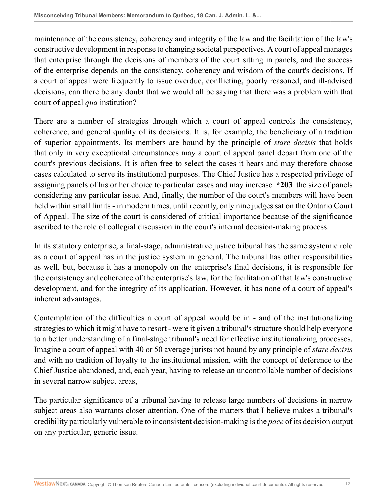maintenance of the consistency, coherency and integrity of the law and the facilitation of the law's constructive development in response to changing societal perspectives. A court of appeal manages that enterprise through the decisions of members of the court sitting in panels, and the success of the enterprise depends on the consistency, coherency and wisdom of the court's decisions. If a court of appeal were frequently to issue overdue, conflicting, poorly reasoned, and ill-advised decisions, can there be any doubt that we would all be saying that there was a problem with that court of appeal *qua* institution?

There are a number of strategies through which a court of appeal controls the consistency, coherence, and general quality of its decisions. It is, for example, the beneficiary of a tradition of superior appointments. Its members are bound by the principle of *stare decisis* that holds that only in very exceptional circumstances may a court of appeal panel depart from one of the court's previous decisions. It is often free to select the cases it hears and may therefore choose cases calculated to serve its institutional purposes. The Chief Justice has a respected privilege of assigning panels of his or her choice to particular cases and may increase **\*203** the size of panels considering any particular issue. And, finally, the number of the court's members will have been held within small limits - in modern times, until recently, only nine judges sat on the Ontario Court of Appeal. The size of the court is considered of critical importance because of the significance ascribed to the role of collegial discussion in the court's internal decision-making process.

In its statutory enterprise, a final-stage, administrative justice tribunal has the same systemic role as a court of appeal has in the justice system in general. The tribunal has other responsibilities as well, but, because it has a monopoly on the enterprise's final decisions, it is responsible for the consistency and coherence of the enterprise's law, for the facilitation of that law's constructive development, and for the integrity of its application. However, it has none of a court of appeal's inherent advantages.

Contemplation of the difficulties a court of appeal would be in - and of the institutionalizing strategies to which it might have to resort - were it given a tribunal's structure should help everyone to a better understanding of a final-stage tribunal's need for effective institutionalizing processes. Imagine a court of appeal with 40 or 50 average jurists not bound by any principle of *stare decisis* and with no tradition of loyalty to the institutional mission, with the concept of deference to the Chief Justice abandoned, and, each year, having to release an uncontrollable number of decisions in several narrow subject areas,

The particular significance of a tribunal having to release large numbers of decisions in narrow subject areas also warrants closer attention. One of the matters that I believe makes a tribunal's credibility particularly vulnerable to inconsistent decision-making is the *pace* of its decision output on any particular, generic issue.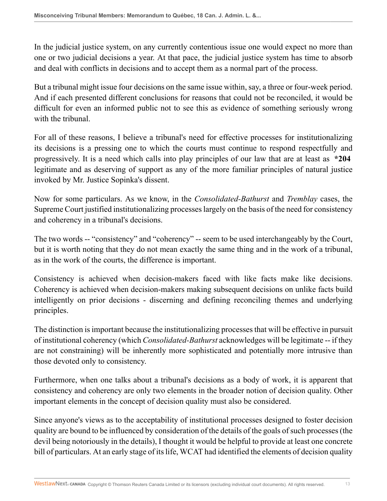In the judicial justice system, on any currently contentious issue one would expect no more than one or two judicial decisions a year. At that pace, the judicial justice system has time to absorb and deal with conflicts in decisions and to accept them as a normal part of the process.

But a tribunal might issue four decisions on the same issue within, say, a three or four-week period. And if each presented different conclusions for reasons that could not be reconciled, it would be difficult for even an informed public not to see this as evidence of something seriously wrong with the tribunal.

For all of these reasons, I believe a tribunal's need for effective processes for institutionalizing its decisions is a pressing one to which the courts must continue to respond respectfully and progressively. It is a need which calls into play principles of our law that are at least as **\*204** legitimate and as deserving of support as any of the more familiar principles of natural justice invoked by Mr. Justice Sopinka's dissent.

Now for some particulars. As we know, in the *Consolidated-Bathurst* and *Tremblay* cases, the Supreme Court justified institutionalizing processes largely on the basis of the need for consistency and coherency in a tribunal's decisions.

The two words -- "consistency" and "coherency" -- seem to be used interchangeably by the Court, but it is worth noting that they do not mean exactly the same thing and in the work of a tribunal, as in the work of the courts, the difference is important.

Consistency is achieved when decision-makers faced with like facts make like decisions. Coherency is achieved when decision-makers making subsequent decisions on unlike facts build intelligently on prior decisions - discerning and defining reconciling themes and underlying principles.

The distinction is important because the institutionalizing processes that will be effective in pursuit of institutional coherency (which *Consolidated-Bathurst* acknowledges will be legitimate -- if they are not constraining) will be inherently more sophisticated and potentially more intrusive than those devoted only to consistency.

Furthermore, when one talks about a tribunal's decisions as a body of work, it is apparent that consistency and coherency are only two elements in the broader notion of decision quality. Other important elements in the concept of decision quality must also be considered.

Since anyone's views as to the acceptability of institutional processes designed to foster decision quality are bound to be influenced by consideration of the details of the goals of such processes (the devil being notoriously in the details), I thought it would be helpful to provide at least one concrete bill of particulars. At an early stage of its life, WCAT had identified the elements of decision quality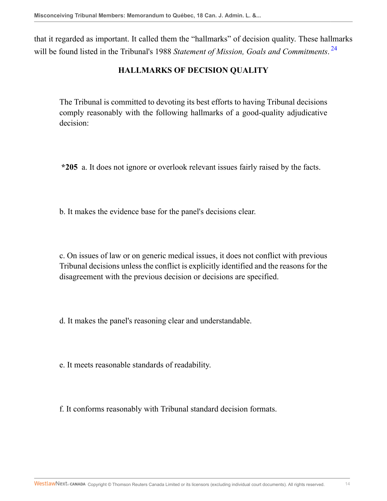that it regarded as important. It called them the "hallmarks" of decision quality. These hallmarks will be found listed in the Tribunal's 1988 *Statement of Mission, Goals and Commitments*. [24](#page-26-4)

## <span id="page-13-0"></span>**HALLMARKS OF DECISION QUALITY**

The Tribunal is committed to devoting its best efforts to having Tribunal decisions comply reasonably with the following hallmarks of a good-quality adjudicative decision:

**\*205** a. It does not ignore or overlook relevant issues fairly raised by the facts.

b. It makes the evidence base for the panel's decisions clear.

c. On issues of law or on generic medical issues, it does not conflict with previous Tribunal decisions unless the conflict is explicitly identified and the reasons for the disagreement with the previous decision or decisions are specified.

d. It makes the panel's reasoning clear and understandable.

e. It meets reasonable standards of readability.

f. It conforms reasonably with Tribunal standard decision formats.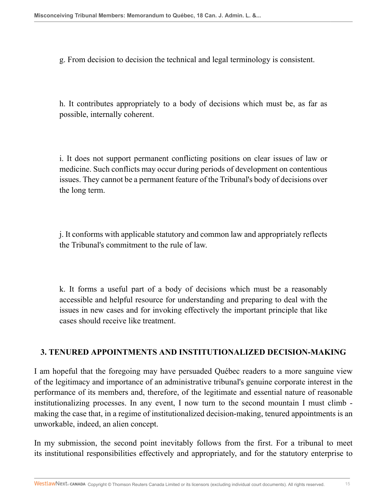g. From decision to decision the technical and legal terminology is consistent.

h. It contributes appropriately to a body of decisions which must be, as far as possible, internally coherent.

i. It does not support permanent conflicting positions on clear issues of law or medicine. Such conflicts may occur during periods of development on contentious issues. They cannot be a permanent feature of the Tribunal's body of decisions over the long term.

j. It conforms with applicable statutory and common law and appropriately reflects the Tribunal's commitment to the rule of law.

k. It forms a useful part of a body of decisions which must be a reasonably accessible and helpful resource for understanding and preparing to deal with the issues in new cases and for invoking effectively the important principle that like cases should receive like treatment.

## **3. TENURED APPOINTMENTS AND INSTITUTIONALIZED DECISION-MAKING**

I am hopeful that the foregoing may have persuaded Québec readers to a more sanguine view of the legitimacy and importance of an administrative tribunal's genuine corporate interest in the performance of its members and, therefore, of the legitimate and essential nature of reasonable institutionalizing processes. In any event, I now turn to the second mountain I must climb making the case that, in a regime of institutionalized decision-making, tenured appointments is an unworkable, indeed, an alien concept.

In my submission, the second point inevitably follows from the first. For a tribunal to meet its institutional responsibilities effectively and appropriately, and for the statutory enterprise to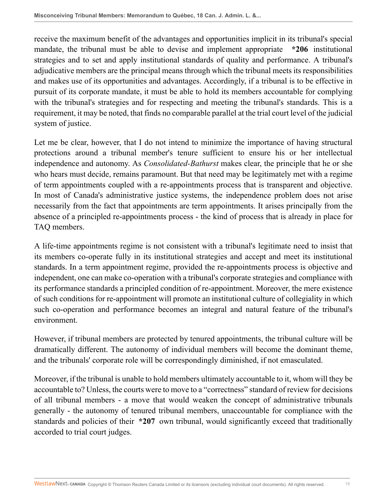receive the maximum benefit of the advantages and opportunities implicit in its tribunal's special mandate, the tribunal must be able to devise and implement appropriate **\*206** institutional strategies and to set and apply institutional standards of quality and performance. A tribunal's adjudicative members are the principal means through which the tribunal meets its responsibilities and makes use of its opportunities and advantages. Accordingly, if a tribunal is to be effective in pursuit of its corporate mandate, it must be able to hold its members accountable for complying with the tribunal's strategies and for respecting and meeting the tribunal's standards. This is a requirement, it may be noted, that finds no comparable parallel at the trial court level of the judicial system of justice.

Let me be clear, however, that I do not intend to minimize the importance of having structural protections around a tribunal member's tenure sufficient to ensure his or her intellectual independence and autonomy. As *Consolidated-Bathurst* makes clear, the principle that he or she who hears must decide, remains paramount. But that need may be legitimately met with a regime of term appointments coupled with a re-appointments process that is transparent and objective. In most of Canada's administrative justice systems, the independence problem does not arise necessarily from the fact that appointments are term appointments. It arises principally from the absence of a principled re-appointments process - the kind of process that is already in place for TAQ members.

A life-time appointments regime is not consistent with a tribunal's legitimate need to insist that its members co-operate fully in its institutional strategies and accept and meet its institutional standards. In a term appointment regime, provided the re-appointments process is objective and independent, one can make co-operation with a tribunal's corporate strategies and compliance with its performance standards a principled condition of re-appointment. Moreover, the mere existence of such conditions for re-appointment will promote an institutional culture of collegiality in which such co-operation and performance becomes an integral and natural feature of the tribunal's environment.

However, if tribunal members are protected by tenured appointments, the tribunal culture will be dramatically different. The autonomy of individual members will become the dominant theme, and the tribunals' corporate role will be correspondingly diminished, if not emasculated.

Moreover, if the tribunal is unable to hold members ultimately accountable to it, whom will they be accountable to? Unless, the courts were to move to a "correctness" standard of review for decisions of all tribunal members - a move that would weaken the concept of administrative tribunals generally - the autonomy of tenured tribunal members, unaccountable for compliance with the standards and policies of their **\*207** own tribunal, would significantly exceed that traditionally accorded to trial court judges.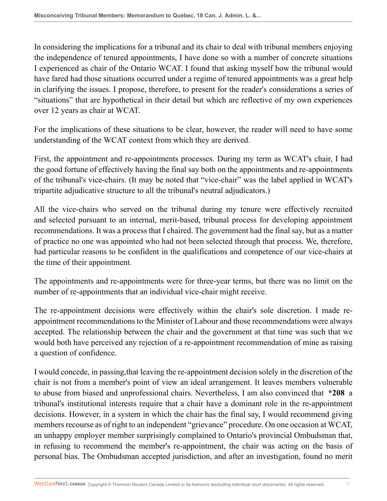In considering the implications for a tribunal and its chair to deal with tribunal members enjoying the independence of tenured appointments, I have done so with a number of concrete situations I experienced as chair of the Ontario WCAT. I found that asking myself how the tribunal would have fared had those situations occurred under a regime of tenured appointments was a great help in clarifying the issues. I propose, therefore, to present for the reader's considerations a series of "situations" that are hypothetical in their detail but which are reflective of my own experiences over 12 years as chair at WCAT.

For the implications of these situations to be clear, however, the reader will need to have some understanding of the WCAT context from which they are derived.

First, the appointment and re-appointments processes. During my term as WCAT's chair, I had the good fortune of effectively having the final say both on the appointments and re-appointments of the tribunal's vice-chairs. (It may be noted that "vice-chair" was the label applied in WCAT's tripartite adjudicative structure to all the tribunal's neutral adjudicators.)

All the vice-chairs who served on the tribunal during my tenure were effectively recruited and selected pursuant to an internal, merit-based, tribunal process for developing appointment recommendations. It was a process that I chaired. The government had the final say, but as a matter of practice no one was appointed who had not been selected through that process. We, therefore, had particular reasons to be confident in the qualifications and competence of our vice-chairs at the time of their appointment.

The appointments and re-appointments were for three-year terms, but there was no limit on the number of re-appointments that an individual vice-chair might receive.

The re-appointment decisions were effectively within the chair's sole discretion. I made reappointment recommendations to the Minister of Labour and those recommendations were always accepted. The relationship between the chair and the government at that time was such that we would both have perceived any rejection of a re-appointment recommendation of mine as raising a question of confidence.

I would concede, in passing,that leaving the re-appointment decision solely in the discretion of the chair is not from a member's point of view an ideal arrangement. It leaves members vulnerable to abuse from biased and unprofessional chairs. Nevertheless, I am also convinced that **\*208** a tribunal's institutional interests require that a chair have a dominant role in the re-appointment decisions. However, in a system in which the chair has the final say, I would recommend giving members recourse as of right to an independent "grievance" procedure. On one occasion at WCAT, an unhappy employer member surprisingly complained to Ontario's provincial Ombudsman that, in refusing to recommend the member's re-appointment, the chair was acting on the basis of personal bias. The Ombudsman accepted jurisdiction, and after an investigation, found no merit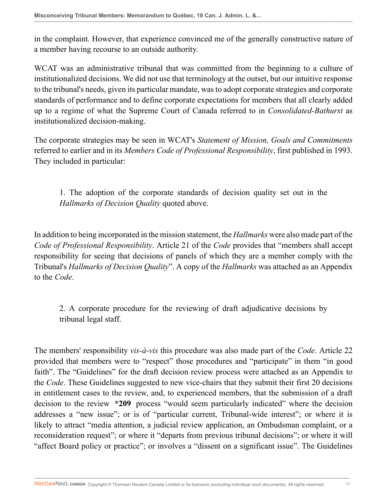in the complaint. However, that experience convinced me of the generally constructive nature of a member having recourse to an outside authority.

WCAT was an administrative tribunal that was committed from the beginning to a culture of institutionalized decisions. We did not use that terminology at the outset, but our intuitive response to the tribunal's needs, given its particular mandate, was to adopt corporate strategies and corporate standards of performance and to define corporate expectations for members that all clearly added up to a regime of what the Supreme Court of Canada referred to in *Consolidated-Bathurst* as institutionalized decision-making.

The corporate strategies may be seen in WCAT's *Statement of Mission, Goals and Commitments* referred to earlier and in its *Members Code of Professional Responsibility*, first published in 1993. They included in particular:

1. The adoption of the corporate standards of decision quality set out in the *Hallmarks of Decision Quality* quoted above.

In addition to being incorporated in the mission statement, the *Hallmarks* were also made part of the *Code of Professional Responsibility*. Article 21 of the *Code* provides that "members shall accept responsibility for seeing that decisions of panels of which they are a member comply with the Tribunal's *Hallmarks of Decision Quality*". A copy of the *Hallmarks* was attached as an Appendix to the *Code*.

2. A corporate procedure for the reviewing of draft adjudicative decisions by tribunal legal staff.

The members' responsibility *vis-à-vis* this procedure was also made part of the *Code*. Article 22 provided that members were to "respect" those procedures and "participate" in them "in good faith". The "Guidelines" for the draft decision review process were attached as an Appendix to the *Code*. These Guidelines suggested to new vice-chairs that they submit their first 20 decisions in entitlement cases to the review, and, to experienced members, that the submission of a draft decision to the review **\*209** process "would seem particularly indicated" where the decision addresses a "new issue"; or is of "particular current, Tribunal-wide interest"; or where it is likely to attract "media attention, a judicial review application, an Ombudsman complaint, or a reconsideration request"; or where it "departs from previous tribunal decisions"; or where it will "affect Board policy or practice"; or involves a "dissent on a significant issue". The Guidelines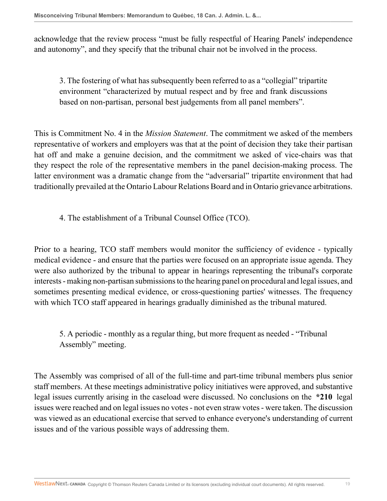acknowledge that the review process "must be fully respectful of Hearing Panels' independence and autonomy", and they specify that the tribunal chair not be involved in the process.

3. The fostering of what has subsequently been referred to as a "collegial" tripartite environment "characterized by mutual respect and by free and frank discussions based on non-partisan, personal best judgements from all panel members".

This is Commitment No. 4 in the *Mission Statement*. The commitment we asked of the members representative of workers and employers was that at the point of decision they take their partisan hat off and make a genuine decision, and the commitment we asked of vice-chairs was that they respect the role of the representative members in the panel decision-making process. The latter environment was a dramatic change from the "adversarial" tripartite environment that had traditionally prevailed at the Ontario Labour Relations Board and in Ontario grievance arbitrations.

4. The establishment of a Tribunal Counsel Office (TCO).

Prior to a hearing, TCO staff members would monitor the sufficiency of evidence - typically medical evidence - and ensure that the parties were focused on an appropriate issue agenda. They were also authorized by the tribunal to appear in hearings representing the tribunal's corporate interests - making non-partisan submissions to the hearing panel on procedural and legal issues, and sometimes presenting medical evidence, or cross-questioning parties' witnesses. The frequency with which TCO staff appeared in hearings gradually diminished as the tribunal matured.

5. A periodic - monthly as a regular thing, but more frequent as needed - "Tribunal Assembly" meeting.

The Assembly was comprised of all of the full-time and part-time tribunal members plus senior staff members. At these meetings administrative policy initiatives were approved, and substantive legal issues currently arising in the caseload were discussed. No conclusions on the **\*210** legal issues were reached and on legal issues no votes - not even straw votes - were taken. The discussion was viewed as an educational exercise that served to enhance everyone's understanding of current issues and of the various possible ways of addressing them.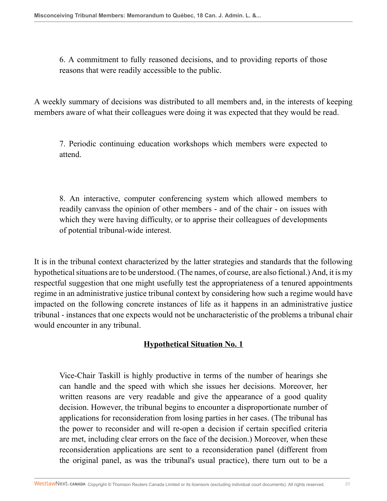6. A commitment to fully reasoned decisions, and to providing reports of those reasons that were readily accessible to the public.

A weekly summary of decisions was distributed to all members and, in the interests of keeping members aware of what their colleagues were doing it was expected that they would be read.

7. Periodic continuing education workshops which members were expected to attend.

8. An interactive, computer conferencing system which allowed members to readily canvass the opinion of other members - and of the chair - on issues with which they were having difficulty, or to apprise their colleagues of developments of potential tribunal-wide interest.

It is in the tribunal context characterized by the latter strategies and standards that the following hypothetical situations are to be understood. (The names, of course, are also fictional.) And, it is my respectful suggestion that one might usefully test the appropriateness of a tenured appointments regime in an administrative justice tribunal context by considering how such a regime would have impacted on the following concrete instances of life as it happens in an administrative justice tribunal - instances that one expects would not be uncharacteristic of the problems a tribunal chair would encounter in any tribunal.

## **Hypothetical Situation No. 1**

Vice-Chair Taskill is highly productive in terms of the number of hearings she can handle and the speed with which she issues her decisions. Moreover, her written reasons are very readable and give the appearance of a good quality decision. However, the tribunal begins to encounter a disproportionate number of applications for reconsideration from losing parties in her cases. (The tribunal has the power to reconsider and will re-open a decision if certain specified criteria are met, including clear errors on the face of the decision.) Moreover, when these reconsideration applications are sent to a reconsideration panel (different from the original panel, as was the tribunal's usual practice), there turn out to be a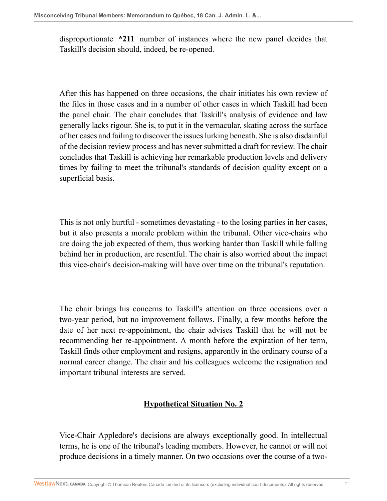disproportionate **\*211** number of instances where the new panel decides that Taskill's decision should, indeed, be re-opened.

After this has happened on three occasions, the chair initiates his own review of the files in those cases and in a number of other cases in which Taskill had been the panel chair. The chair concludes that Taskill's analysis of evidence and law generally lacks rigour. She is, to put it in the vernacular, skating across the surface of her cases and failing to discover the issues lurking beneath. She is also disdainful of the decision review process and has never submitted a draft for review. The chair concludes that Taskill is achieving her remarkable production levels and delivery times by failing to meet the tribunal's standards of decision quality except on a superficial basis.

This is not only hurtful - sometimes devastating - to the losing parties in her cases, but it also presents a morale problem within the tribunal. Other vice-chairs who are doing the job expected of them, thus working harder than Taskill while falling behind her in production, are resentful. The chair is also worried about the impact this vice-chair's decision-making will have over time on the tribunal's reputation.

The chair brings his concerns to Taskill's attention on three occasions over a two-year period, but no improvement follows. Finally, a few months before the date of her next re-appointment, the chair advises Taskill that he will not be recommending her re-appointment. A month before the expiration of her term, Taskill finds other employment and resigns, apparently in the ordinary course of a normal career change. The chair and his colleagues welcome the resignation and important tribunal interests are served.

## **Hypothetical Situation No. 2**

Vice-Chair Appledore's decisions are always exceptionally good. In intellectual terms, he is one of the tribunal's leading members. However, he cannot or will not produce decisions in a timely manner. On two occasions over the course of a two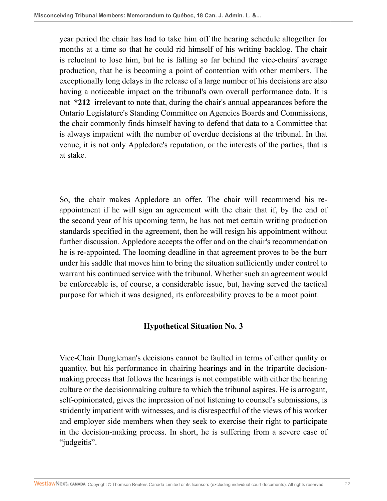year period the chair has had to take him off the hearing schedule altogether for months at a time so that he could rid himself of his writing backlog. The chair is reluctant to lose him, but he is falling so far behind the vice-chairs' average production, that he is becoming a point of contention with other members. The exceptionally long delays in the release of a large number of his decisions are also having a noticeable impact on the tribunal's own overall performance data. It is not **\*212** irrelevant to note that, during the chair's annual appearances before the Ontario Legislature's Standing Committee on Agencies Boards and Commissions, the chair commonly finds himself having to defend that data to a Committee that is always impatient with the number of overdue decisions at the tribunal. In that venue, it is not only Appledore's reputation, or the interests of the parties, that is at stake.

So, the chair makes Appledore an offer. The chair will recommend his reappointment if he will sign an agreement with the chair that if, by the end of the second year of his upcoming term, he has not met certain writing production standards specified in the agreement, then he will resign his appointment without further discussion. Appledore accepts the offer and on the chair's recommendation he is re-appointed. The looming deadline in that agreement proves to be the burr under his saddle that moves him to bring the situation sufficiently under control to warrant his continued service with the tribunal. Whether such an agreement would be enforceable is, of course, a considerable issue, but, having served the tactical purpose for which it was designed, its enforceability proves to be a moot point.

## **Hypothetical Situation No. 3**

Vice-Chair Dungleman's decisions cannot be faulted in terms of either quality or quantity, but his performance in chairing hearings and in the tripartite decisionmaking process that follows the hearings is not compatible with either the hearing culture or the decisionmaking culture to which the tribunal aspires. He is arrogant, self-opinionated, gives the impression of not listening to counsel's submissions, is stridently impatient with witnesses, and is disrespectful of the views of his worker and employer side members when they seek to exercise their right to participate in the decision-making process. In short, he is suffering from a severe case of "judgeitis".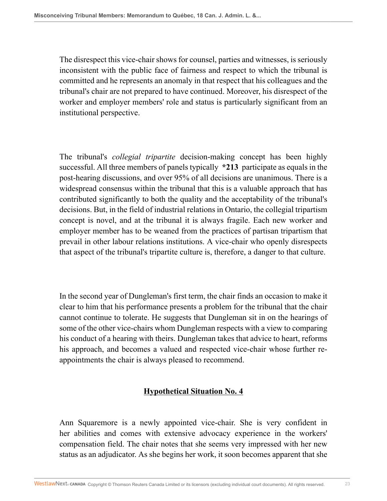The disrespect this vice-chair shows for counsel, parties and witnesses, is seriously inconsistent with the public face of fairness and respect to which the tribunal is committed and he represents an anomaly in that respect that his colleagues and the tribunal's chair are not prepared to have continued. Moreover, his disrespect of the worker and employer members' role and status is particularly significant from an institutional perspective.

The tribunal's *collegial tripartite* decision-making concept has been highly successful. All three members of panels typically **\*213** participate as equals in the post-hearing discussions, and over 95% of all decisions are unanimous. There is a widespread consensus within the tribunal that this is a valuable approach that has contributed significantly to both the quality and the acceptability of the tribunal's decisions. But, in the field of industrial relations in Ontario, the collegial tripartism concept is novel, and at the tribunal it is always fragile. Each new worker and employer member has to be weaned from the practices of partisan tripartism that prevail in other labour relations institutions. A vice-chair who openly disrespects that aspect of the tribunal's tripartite culture is, therefore, a danger to that culture.

In the second year of Dungleman's first term, the chair finds an occasion to make it clear to him that his performance presents a problem for the tribunal that the chair cannot continue to tolerate. He suggests that Dungleman sit in on the hearings of some of the other vice-chairs whom Dungleman respects with a view to comparing his conduct of a hearing with theirs. Dungleman takes that advice to heart, reforms his approach, and becomes a valued and respected vice-chair whose further reappointments the chair is always pleased to recommend.

# **Hypothetical Situation No. 4**

Ann Squaremore is a newly appointed vice-chair. She is very confident in her abilities and comes with extensive advocacy experience in the workers' compensation field. The chair notes that she seems very impressed with her new status as an adjudicator. As she begins her work, it soon becomes apparent that she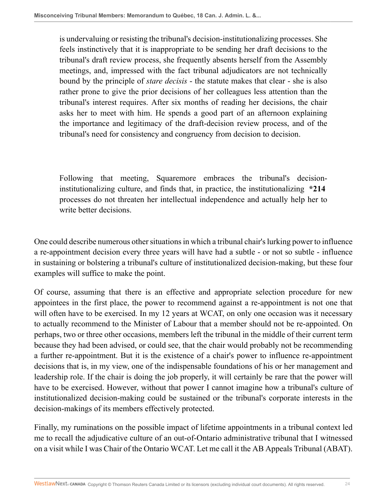is undervaluing or resisting the tribunal's decision-institutionalizing processes. She feels instinctively that it is inappropriate to be sending her draft decisions to the tribunal's draft review process, she frequently absents herself from the Assembly meetings, and, impressed with the fact tribunal adjudicators are not technically bound by the principle of *stare decisis* - the statute makes that clear - she is also rather prone to give the prior decisions of her colleagues less attention than the tribunal's interest requires. After six months of reading her decisions, the chair asks her to meet with him. He spends a good part of an afternoon explaining the importance and legitimacy of the draft-decision review process, and of the tribunal's need for consistency and congruency from decision to decision.

Following that meeting, Squaremore embraces the tribunal's decisioninstitutionalizing culture, and finds that, in practice, the institutionalizing **\*214** processes do not threaten her intellectual independence and actually help her to write better decisions.

One could describe numerous other situations in which a tribunal chair's lurking power to influence a re-appointment decision every three years will have had a subtle - or not so subtle - influence in sustaining or bolstering a tribunal's culture of institutionalized decision-making, but these four examples will suffice to make the point.

Of course, assuming that there is an effective and appropriate selection procedure for new appointees in the first place, the power to recommend against a re-appointment is not one that will often have to be exercised. In my 12 years at WCAT, on only one occasion was it necessary to actually recommend to the Minister of Labour that a member should not be re-appointed. On perhaps, two or three other occasions, members left the tribunal in the middle of their current term because they had been advised, or could see, that the chair would probably not be recommending a further re-appointment. But it is the existence of a chair's power to influence re-appointment decisions that is, in my view, one of the indispensable foundations of his or her management and leadership role. If the chair is doing the job properly, it will certainly be rare that the power will have to be exercised. However, without that power I cannot imagine how a tribunal's culture of institutionalized decision-making could be sustained or the tribunal's corporate interests in the decision-makings of its members effectively protected.

Finally, my ruminations on the possible impact of lifetime appointments in a tribunal context led me to recall the adjudicative culture of an out-of-Ontario administrative tribunal that I witnessed on a visit while I was Chair of the Ontario WCAT. Let me call it the AB Appeals Tribunal (ABAT).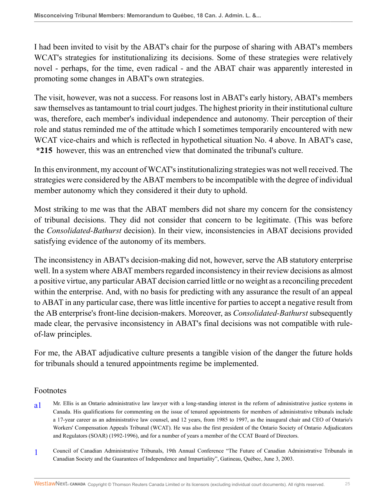I had been invited to visit by the ABAT's chair for the purpose of sharing with ABAT's members WCAT's strategies for institutionalizing its decisions. Some of these strategies were relatively novel - perhaps, for the time, even radical - and the ABAT chair was apparently interested in promoting some changes in ABAT's own strategies.

The visit, however, was not a success. For reasons lost in ABAT's early history, ABAT's members saw themselves as tantamount to trial court judges. The highest priority in their institutional culture was, therefore, each member's individual independence and autonomy. Their perception of their role and status reminded me of the attitude which I sometimes temporarily encountered with new WCAT vice-chairs and which is reflected in hypothetical situation No. 4 above. In ABAT's case, **\*215** however, this was an entrenched view that dominated the tribunal's culture.

In this environment, my account of WCAT's institutionalizing strategies was not well received. The strategies were considered by the ABAT members to be incompatible with the degree of individual member autonomy which they considered it their duty to uphold.

Most striking to me was that the ABAT members did not share my concern for the consistency of tribunal decisions. They did not consider that concern to be legitimate. (This was before the *Consolidated-Bathurst* decision). In their view, inconsistencies in ABAT decisions provided satisfying evidence of the autonomy of its members.

The inconsistency in ABAT's decision-making did not, however, serve the AB statutory enterprise well. In a system where ABAT members regarded inconsistency in their review decisions as almost a positive virtue, any particular ABAT decision carried little or no weight as a reconciling precedent within the enterprise. And, with no basis for predicting with any assurance the result of an appeal to ABAT in any particular case, there was little incentive for parties to accept a negative result from the AB enterprise's front-line decision-makers. Moreover, as *Consolidated-Bathurst* subsequently made clear, the pervasive inconsistency in ABAT's final decisions was not compatible with ruleof-law principles.

For me, the ABAT adjudicative culture presents a tangible vision of the danger the future holds for tribunals should a tenured appointments regime be implemented.

#### Footnotes

- <span id="page-24-0"></span>[a1](#page-0-0) Mr. Ellis is an Ontario administrative law lawyer with a long-standing interest in the reform of administrative justice systems in Canada. His qualifications for commenting on the issue of tenured appointments for members of administrative tribunals include a 17-year career as an administrative law counsel, and 12 years, from 1985 to 1997, as the inaugural chair and CEO of Ontario's Workers' Compensation Appeals Tribunal (WCAT). He was also the first president of the Ontario Society of Ontario Adjudicators and Regulators (SOAR) (1992-1996), and for a number of years a member of the CCAT Board of Directors.
- <span id="page-24-1"></span>[1](#page-0-1) Council of Canadian Administrative Tribunals, 19th Annual Conference "The Future of Canadian Administrative Tribunals in Canadian Society and the Guarantees of Independence and Impartiality", Gatineau, Québec, June 3, 2003.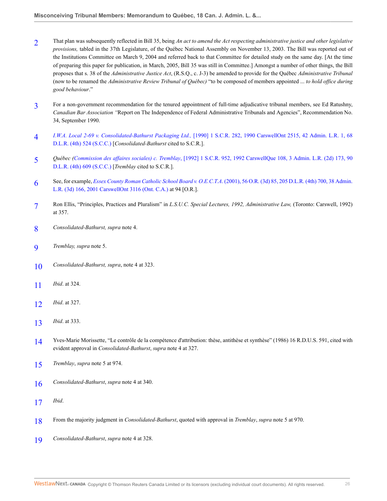- <span id="page-25-0"></span>[2](#page-0-2) That plan was subsequently reflected in Bill 35, being *An act to amend the Act respecting administrative justice and other legislative provisions,* tabled in the 37th Legislature, of the Québec National Assembly on November 13, 2003. The Bill was reported out of the Institutions Committee on March 9, 2004 and referred back to that Committee for detailed study on the same day. [At the time of preparing this paper for publication, in March, 2005, Bill 35 was still in Committee.] Amongst a number of other things, the Bill proposes that s. 38 of the *Administrative Justice Act*, (R.S.Q., c. J-3) be amended to provide for the Québec *Administrative Tribunal* (now to be renamed the *Administrative Review Tribunal of Québec)* "to be composed of members appointed ... *to hold office during good behaviour*."
- <span id="page-25-1"></span>[3](#page-0-3) For a non-government recommendation for the tenured appointment of full-time adjudicative tribunal members, see Ed Ratushny, *Canadian Bar Association "*Report on The Independence of Federal Administrative Tribunals and Agencies", Recommendation No. 34, September 1990.
- <span id="page-25-2"></span>[4](#page-1-0) *I.W.A. Local 2-69 v. Consolidated-Bathurst Packaging Ltd.,* [\[1990\] 1 S.C.R. 282, 1990 CarswellOnt 2515, 42 Admin. L.R. 1, 68](http://nextcanada.westlaw.com/Link/Document/FullText?findType=Y&serNum=1990311442&pubNum=5156&originatingDoc=I24b69711384011db8382aef8d8e33c97&refType=IC&originationContext=document&vr=3.0&rs=cblt1.0&transitionType=DocumentItem&contextData=(sc.Search)) [D.L.R. \(4th\) 524 \(S.C.C.\)](http://nextcanada.westlaw.com/Link/Document/FullText?findType=Y&serNum=1990311442&pubNum=5156&originatingDoc=I24b69711384011db8382aef8d8e33c97&refType=IC&originationContext=document&vr=3.0&rs=cblt1.0&transitionType=DocumentItem&contextData=(sc.Search)) [*Consolidated-Bathurst* cited to S.C.R.].
- <span id="page-25-3"></span>[5](#page-1-1) *Québec (Commission des affaires sociales) c. Tremblay*[, \[1992\] 1 S.C.R. 952, 1992 CarswellQue 108, 3 Admin. L.R. \(2d\) 173, 90](http://nextcanada.westlaw.com/Link/Document/FullText?findType=Y&serNum=1992363247&pubNum=5156&originatingDoc=I24b69711384011db8382aef8d8e33c97&refType=IC&originationContext=document&vr=3.0&rs=cblt1.0&transitionType=DocumentItem&contextData=(sc.Search)) [D.L.R. \(4th\) 609 \(S.C.C.\)](http://nextcanada.westlaw.com/Link/Document/FullText?findType=Y&serNum=1992363247&pubNum=5156&originatingDoc=I24b69711384011db8382aef8d8e33c97&refType=IC&originationContext=document&vr=3.0&rs=cblt1.0&transitionType=DocumentItem&contextData=(sc.Search)) [*Tremblay* cited to S.C.R.].
- <span id="page-25-4"></span>[6](#page-3-0) See, for example, *Essex County Roman Catholic School Board v. O.E.C.T.A*[. \(2001\), 56 O.R. \(3d\) 85, 205 D.L.R. \(4th\) 700, 38 Admin.](http://nextcanada.westlaw.com/Link/Document/FullText?findType=Y&serNum=2001458672&pubNum=5506&originatingDoc=I24b69711384011db8382aef8d8e33c97&refType=IC&originationContext=document&vr=3.0&rs=cblt1.0&transitionType=DocumentItem&contextData=(sc.Search)) [L.R. \(3d\) 166, 2001 CarswellOnt 3116 \(Ont. C.A.\)](http://nextcanada.westlaw.com/Link/Document/FullText?findType=Y&serNum=2001458672&pubNum=5506&originatingDoc=I24b69711384011db8382aef8d8e33c97&refType=IC&originationContext=document&vr=3.0&rs=cblt1.0&transitionType=DocumentItem&contextData=(sc.Search)) at 94 [O.R.].
- <span id="page-25-5"></span>[7](#page-4-0) Ron Ellis, "Principles, Practices and Pluralism" in *L.S.U.C. Special Lectures, 1992, Administrative Law,* (Toronto: Carswell, 1992) at 357.
- <span id="page-25-6"></span>[8](#page-5-0) *Consolidated-Bathurst, supra* note 4.
- <span id="page-25-7"></span>[9](#page-5-1) *Tremblay, supra* note 5.
- <span id="page-25-8"></span>[10](#page-5-2) *Consolidated-Bathurst, supra*, note 4 at 323.
- <span id="page-25-9"></span>[11](#page-5-3) *Ibid*. at 324.
- <span id="page-25-10"></span>[12](#page-5-4) *Ibid*. at 327.
- <span id="page-25-11"></span>[13](#page-6-0) *Ibid*. at 333.
- <span id="page-25-12"></span>[14](#page-6-1) Yves-Marie Morissette, "Le contrôle de la compétence d'attribution: thèse, antithèse et synthèse" (1986) 16 R.D.U.S. 591, cited with evident approval in *Consolidated-Bathurst*, *supra* note 4 at 327.
- <span id="page-25-13"></span>[15](#page-6-2) *Tremblay*, *supra* note 5 at 974.
- <span id="page-25-14"></span>[16](#page-6-3) *Consolidated-Bathurst*, *supra* note 4 at 340.
- <span id="page-25-15"></span>[17](#page-6-4) *Ibid*.
- <span id="page-25-16"></span>[18](#page-6-5) From the majority judgment in *Consolidated-Bathurst*, quoted with approval in *Tremblay*, *supra* note 5 at 970.
- <span id="page-25-17"></span>[19](#page-7-0) *Consolidated-Bathurst*, *supra* note 4 at 328.